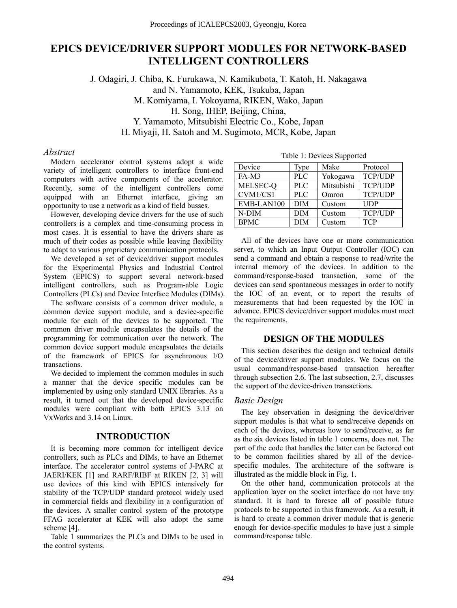# **EPICS DEVICE/DRIVER SUPPORT MODULES FOR NETWORK-BASED INTELLIGENT CONTROLLERS**

J. Odagiri, J. Chiba, K. Furukawa, N. Kamikubota, T. Katoh, H. Nakagawa and N. Yamamoto, KEK, Tsukuba, Japan M. Komiyama, I. Yokoyama, RIKEN, Wako, Japan H. Song, IHEP, Beijing, China, Y. Yamamoto, Mitsubishi Electric Co., Kobe, Japan H. Miyaji, H. Satoh and M. Sugimoto, MCR, Kobe, Japan

### *Abstract*

Modern accelerator control systems adopt a wide variety of intelligent controllers to interface front-end computers with active components of the accelerator. Recently, some of the intelligent controllers come equipped with an Ethernet interface, giving an opportunity to use a network as a kind of field busses.

However, developing device drivers for the use of such controllers is a complex and time-consuming process in most cases. It is essential to have the drivers share as much of their codes as possible while leaving flexibility to adapt to various proprietary communication protocols.

We developed a set of device/driver support modules for the Experimental Physics and Industrial Control System (EPICS) to support several network-based intelligent controllers, such as Program-able Logic Controllers (PLCs) and Device Interface Modules (DIMs).

The software consists of a common driver module, a common device support module, and a device-specific module for each of the devices to be supported. The common driver module encapsulates the details of the programming for communication over the network. The common device support module encapsulates the details of the framework of EPICS for asynchronous I/O transactions.

We decided to implement the common modules in such a manner that the device specific modules can be implemented by using only standard UNIX libraries. As a result, it turned out that the developed device-specific modules were compliant with both EPICS 3.13 on VxWorks and 3.14 on Linux.

### **INTRODUCTION**

It is becoming more common for intelligent device controllers, such as PLCs and DIMs, to have an Ethernet interface. The accelerator control systems of J-PARC at JAERI/KEK [1] and RARF/RIBF at RIKEN [2, 3] will use devices of this kind with EPICS intensively for stability of the TCP/UDP standard protocol widely used in commercial fields and flexibility in a configuration of the devices. A smaller control system of the prototype FFAG accelerator at KEK will also adopt the same scheme [4].

Table 1 summarizes the PLCs and DIMs to be used in the control systems.

| Device      | Type       | Make       | Protocol       |
|-------------|------------|------------|----------------|
| FA-M3       | <b>PLC</b> | Yokogawa   | TCP/UDP        |
| MELSEC-Q    | <b>PLC</b> | Mitsubishi | TCP/UDP        |
| CVM1/CS1    | <b>PLC</b> | Omron      | <b>TCP/UDP</b> |
| EMB-LAN100  | <b>DIM</b> | Custom     | <b>UDP</b>     |
| $N-DIM$     | <b>DIM</b> | Custom     | TCP/UDP        |
| <b>BPMC</b> | <b>DIM</b> | Custom     | <b>TCP</b>     |

Table 1: Devices Supported

All of the devices have one or more communication server, to which an Input Output Controller (IOC) can send a command and obtain a response to read/write the internal memory of the devices. In addition to the command/response-based transaction, some of the devices can send spontaneous messages in order to notify the IOC of an event, or to report the results of measurements that had been requested by the IOC in advance. EPICS device/driver support modules must meet the requirements.

### **DESIGN OF THE MODULES**

This section describes the design and technical details of the device/driver support modules. We focus on the usual command/response-based transaction hereafter through subsection 2.6. The last subsection, 2.7, discusses the support of the device-driven transactions.

# *Basic Design*

The key observation in designing the device/driver support modules is that what to send/receive depends on each of the devices, whereas how to send/receive, as far as the six devices listed in table 1 concerns, does not. The part of the code that handles the latter can be factored out to be common facilities shared by all of the devicespecific modules. The architecture of the software is illustrated as the middle block in Fig. 1.

On the other hand, communication protocols at the application layer on the socket interface do not have any standard. It is hard to foresee all of possible future protocols to be supported in this framework. As a result, it is hard to create a common driver module that is generic enough for device-specific modules to have just a simple command/response table.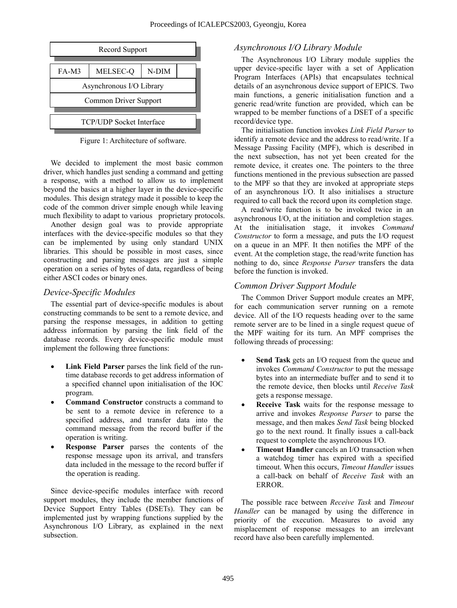

Figure 1: Architecture of software.

We decided to implement the most basic common driver, which handles just sending a command and getting a response, with a method to allow us to implement beyond the basics at a higher layer in the device-specific modules. This design strategy made it possible to keep the code of the common driver simple enough while leaving much flexibility to adapt to various proprietary protocols.

Another design goal was to provide appropriate interfaces with the device-specific modules so that they can be implemented by using only standard UNIX libraries. This should be possible in most cases, since constructing and parsing messages are just a simple operation on a series of bytes of data, regardless of being either ASCI codes or binary ones.

The essential part of device-specific modules is about constructing commands to be sent to a remote device, and parsing the response messages, in addition to getting address information by parsing the link field of the database records. Every device-specific module must implement the following three functions:

- **Link Field Parser** parses the link field of the runtime database records to get address information of a specified channel upon initialisation of the IOC program.
- **Command Constructor** constructs a command to be sent to a remote device in reference to a specified address, and transfer data into the command message from the record buffer if the operation is writing.
- **Response Parser** parses the contents of the response message upon its arrival, and transfers data included in the message to the record buffer if the operation is reading.

Since device-specific modules interface with record support modules, they include the member functions of Device Support Entry Tables (DSETs). They can be implemented just by wrapping functions supplied by the Asynchronous I/O Library, as explained in the next subsection.

# Record Support *Asynchronous I/O Library Module*

The Asynchronous I/O Library module supplies the upper device-specific layer with a set of Application Program Interfaces (APIs) that encapsulates technical details of an asynchronous device support of EPICS. Two main functions, a generic initialisation function and a generic read/write function are provided, which can be wrapped to be member functions of a DSET of a specific record/device type.

The initialisation function invokes *Link Field Parser* to identify a remote device and the address to read/write. If a Message Passing Facility (MPF), which is described in the next subsection, has not yet been created for the remote device, it creates one. The pointers to the three functions mentioned in the previous subsection are passed to the MPF so that they are invoked at appropriate steps of an asynchronous I/O. It also initialises a structure required to call back the record upon its completion stage.

A read/write function is to be invoked twice in an asynchronous I/O, at the initiation and completion stages. At the initialisation stage, it invokes *Command Constructor* to form a message, and puts the I/O request on a queue in an MPF. It then notifies the MPF of the event. At the completion stage, the read/write function has nothing to do, since *Response Parser* transfers the data before the function is invoked.

*Common Driver Support Module*<br>The Common Driver Support module creates an MPF,<br>The Common Driver Support module creates an MPF, for each communication server running on a remote device. All of the I/O requests heading over to the same remote server are to be lined in a single request queue of the MPF waiting for its turn. An MPF comprises the following threads of processing:

- **Send Task** gets an I/O request from the queue and invokes *Command Constructor* to put the message bytes into an intermediate buffer and to send it to the remote device, then blocks until *Receive Task* gets a response message.
- **Receive Task** waits for the response message to arrive and invokes *Response Parser* to parse the message, and then makes *Send Task* being blocked go to the next round. It finally issues a call-back request to complete the asynchronous I/O.
- **Timeout Handler** cancels an I/O transaction when a watchdog timer has expired with a specified timeout. When this occurs, *Timeout Handler* issues a call-back on behalf of *Receive Task* with an ERROR.

The possible race between *Receive Task* and *Timeout Handler* can be managed by using the difference in priority of the execution. Measures to avoid any misplacement of response messages to an irrelevant record have also been carefully implemented.